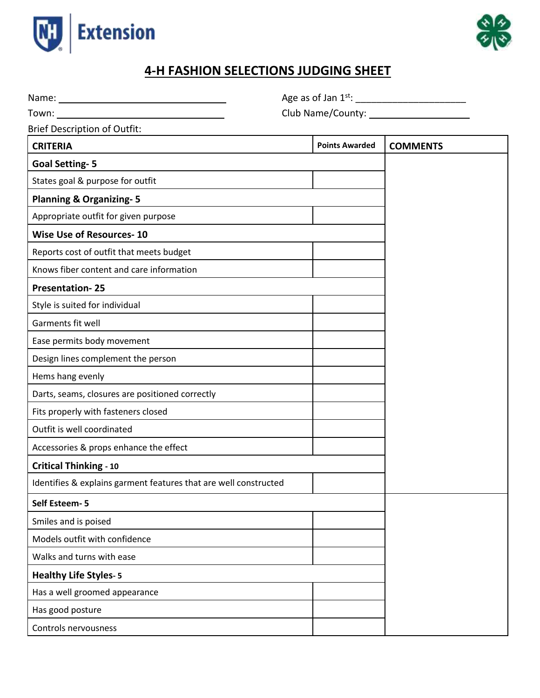



## **4-H FASHION SELECTIONS JUDGING SHEET**

Name:  $\qquad \qquad$  Name: Town: Club Name/County: Brief Description of Outfit: **CRITERIA Points Awarded COMMENTS Goal Setting- 5 - - Possib- Possible points 10** States goal & purpose for outfit **Planning & Organizing- 5** Appropriate outfit for given purpose **Wise Use of Resources- 10** Reports cost of outfit that meets budget **Kn**Knows fiber content and care information **Presentation- 25** Style is suited for individual Garments fit well Ease permits body movement Design lines complement the person Hems hang evenly Darts, seams, closures are positioned correctly Fits properly with fasteners closed Outfit is well coordinated Accessories & props enhance the effect **Critical Thinking - 10** Identifies & explains garment features that are well constructed **Self Esteem- 5** Smiles and is poised Models outfit with confidence Walks and turns with ease **Healthy Life Styles- 5** Has a well groomed appearance Has good posture Controls nervousness